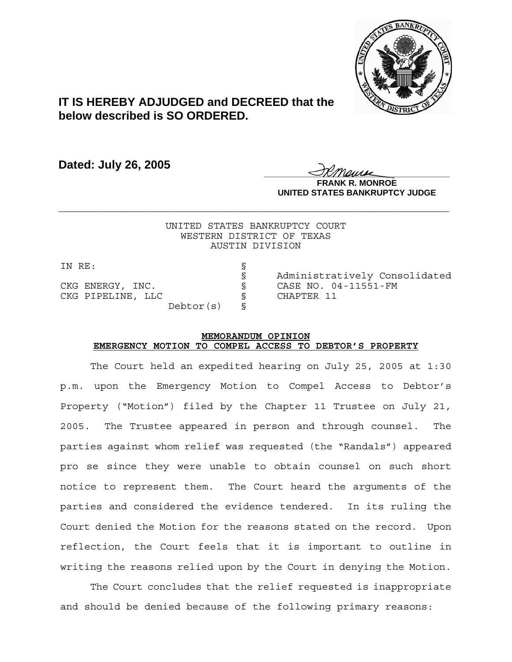

## **IT IS HEREBY ADJUDGED and DECREED that the below described is SO ORDERED.**

**Dated: July 26, 2005**

<u>IKThemse</u> **FRANK R. MONROE UNITED STATES BANKRUPTCY JUDGE**

UNITED STATES BANKRUPTCY COURT WESTERN DISTRICT OF TEXAS AUSTIN DIVISION

**\_\_\_\_\_\_\_\_\_\_\_\_\_\_\_\_\_\_\_\_\_\_\_\_\_\_\_\_\_\_\_\_\_\_\_\_\_\_\_\_\_\_\_\_\_\_\_\_\_\_\_\_\_\_\_\_\_\_\_\_**

IN RE: CKG PIPELINE, LLC S CHAPTER 11 Debtor(s) §

§ Administratively Consolidated CKG ENERGY, INC. § CASE NO. 04-11551-FM

## **MEMORANDUM OPINION EMERGENCY MOTION TO COMPEL ACCESS TO DEBTOR'S PROPERTY**

The Court held an expedited hearing on July 25, 2005 at 1:30 p.m. upon the Emergency Motion to Compel Access to Debtor's Property ("Motion") filed by the Chapter 11 Trustee on July 21, 2005. The Trustee appeared in person and through counsel. The parties against whom relief was requested (the "Randals") appeared pro se since they were unable to obtain counsel on such short notice to represent them. The Court heard the arguments of the parties and considered the evidence tendered. In its ruling the Court denied the Motion for the reasons stated on the record. Upon reflection, the Court feels that it is important to outline in writing the reasons relied upon by the Court in denying the Motion.

The Court concludes that the relief requested is inappropriate and should be denied because of the following primary reasons: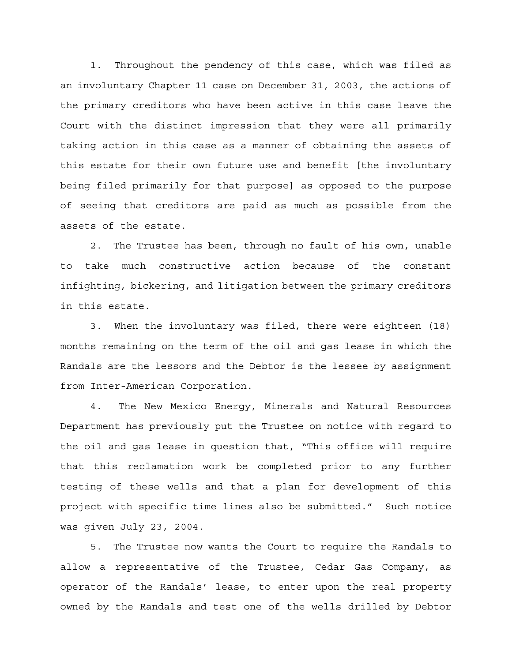1. Throughout the pendency of this case, which was filed as an involuntary Chapter 11 case on December 31, 2003, the actions of the primary creditors who have been active in this case leave the Court with the distinct impression that they were all primarily taking action in this case as a manner of obtaining the assets of this estate for their own future use and benefit [the involuntary being filed primarily for that purpose] as opposed to the purpose of seeing that creditors are paid as much as possible from the assets of the estate.

2. The Trustee has been, through no fault of his own, unable to take much constructive action because of the constant infighting, bickering, and litigation between the primary creditors in this estate.

3. When the involuntary was filed, there were eighteen (18) months remaining on the term of the oil and gas lease in which the Randals are the lessors and the Debtor is the lessee by assignment from Inter-American Corporation.

4. The New Mexico Energy, Minerals and Natural Resources Department has previously put the Trustee on notice with regard to the oil and gas lease in question that, "This office will require that this reclamation work be completed prior to any further testing of these wells and that a plan for development of this project with specific time lines also be submitted." Such notice was given July 23, 2004.

5. The Trustee now wants the Court to require the Randals to allow a representative of the Trustee, Cedar Gas Company, as operator of the Randals' lease, to enter upon the real property owned by the Randals and test one of the wells drilled by Debtor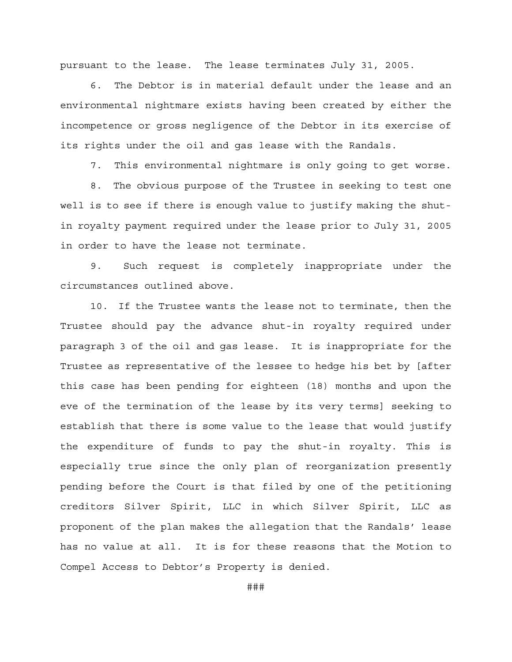pursuant to the lease. The lease terminates July 31, 2005.

6. The Debtor is in material default under the lease and an environmental nightmare exists having been created by either the incompetence or gross negligence of the Debtor in its exercise of its rights under the oil and gas lease with the Randals.

7. This environmental nightmare is only going to get worse.

8. The obvious purpose of the Trustee in seeking to test one well is to see if there is enough value to justify making the shutin royalty payment required under the lease prior to July 31, 2005 in order to have the lease not terminate.

9. Such request is completely inappropriate under the circumstances outlined above.

10. If the Trustee wants the lease not to terminate, then the Trustee should pay the advance shut-in royalty required under paragraph 3 of the oil and gas lease. It is inappropriate for the Trustee as representative of the lessee to hedge his bet by [after this case has been pending for eighteen (18) months and upon the eve of the termination of the lease by its very terms] seeking to establish that there is some value to the lease that would justify the expenditure of funds to pay the shut-in royalty. This is especially true since the only plan of reorganization presently pending before the Court is that filed by one of the petitioning creditors Silver Spirit, LLC in which Silver Spirit, LLC as proponent of the plan makes the allegation that the Randals' lease has no value at all. It is for these reasons that the Motion to Compel Access to Debtor's Property is denied.

###